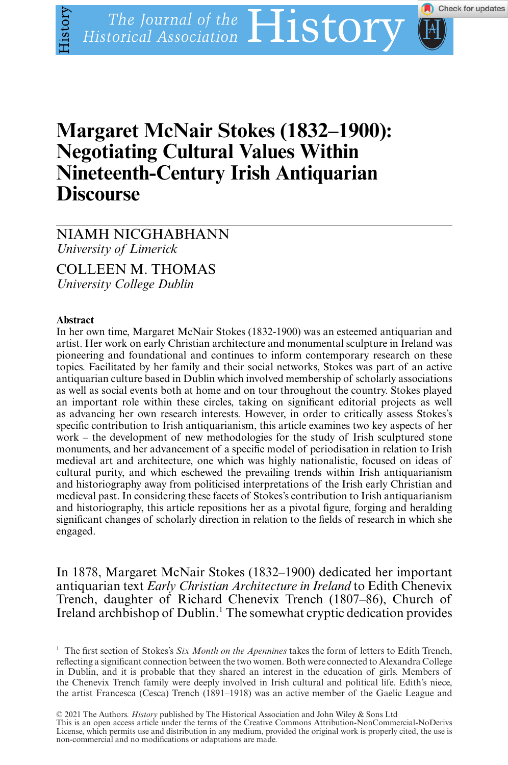# **Margaret McNair Stokes (1832–1900): Nineteenth-Century Irish Antiquarian Niscourse**

## NIAMH NICGHABHANN *University of Limerick*

# COLLEEN M. THOMAS

*University College Dublin*

#### Abstract

listory

In her own time, Margaret McNair Stokes (1832-1900) was an esteemed antiquarian and artist. Her work on early Christian architecture and monumental sculpture in Ireland was pioneering and foundational and continues to inform contemporary research on these topics. Facilitated by her family and their social networks, Stokes was part of an active antiquarian culture based in Dublin which involved membership of scholarly associations as well as social events both at home and on tour throughout the country. Stokes played an important role within these circles, taking on significant editorial projects as well as advancing her own research interests. However, in order to critically assess Stokes's specific contribution to Irish antiquarianism, this article examines two key aspects of her work – the development of new methodologies for the study of Irish sculptured stone monuments, and her advancement of a specific model of periodisation in relation to Irish medieval art and architecture, one which was highly nationalistic, focused on ideas of cultural purity, and which eschewed the prevailing trends within Irish antiquarianism and historiography away from politicised interpretations of the Irish early Christian and medieval past. In considering these facets of Stokes's contribution to Irish antiquarianism and historiography, this article repositions her as a pivotal figure, forging and heralding significant changes of scholarly direction in relation to the fields of research in which she engaged.

In 1878, Margaret McNair Stokes (1832–1900) dedicated her important antiquarian text *Early Christian Architecture in Ireland* to Edith Chenevix Trench, daughter of Richard Chenevix Trench (1807–86), Church of Ireland archbishop of Dublin.1 The somewhat cryptic dedication provides

<sup>1</sup> The first section of Stokes's *Six Month on the Apennines* takes the form of letters to Edith Trench, reflecting a significant connection between the two women. Both were connected to Alexandra College in Dublin, and it is probable that they shared an interest in the education of girls. Members of the Chenevix Trench family were deeply involved in Irish cultural and political life. Edith's niece, the artist Francesca (Cesca) Trench (1891–1918) was an active member of the Gaelic League and

© 2021 The Authors. *History* published by The Historical Association and John Wiley & Sons Ltd<br>This is an open access article under the terms of the [Creative Commons Attribution-NonCommercial-NoDerivs](http://creativecommons.org/licenses/by-nc-nd/4.0/) License, which permits use and distribution in any medium, provided the original work is properly cited, the use is non-commercial and no modifications or adaptations are made.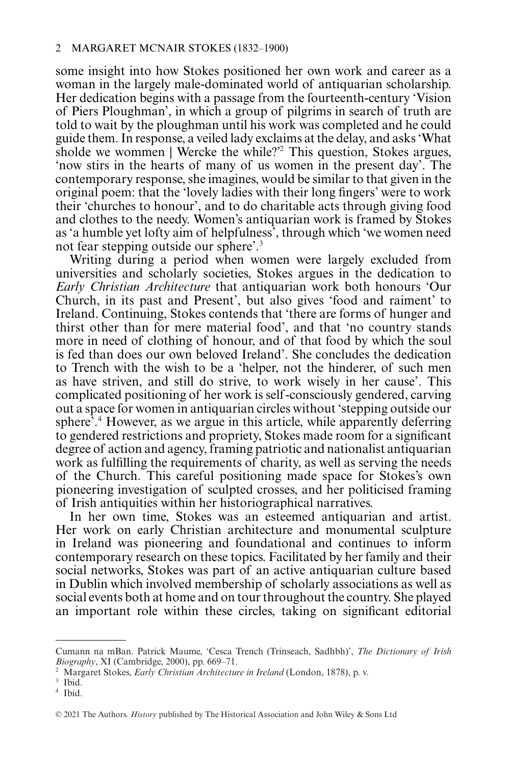some insight into how Stokes positioned her own work and career as a woman in the largely male-dominated world of antiquarian scholarship. Her dedication begins with a passage from the fourteenth-century 'Vision of Piers Ploughman', in which a group of pilgrims in search of truth are told to wait by the ploughman until his work was completed and he could guide them. In response, a veiled lady exclaims at the delay, and asks 'What sholde we wommen | Wercke the while?'2 This question, Stokes argues, 'now stirs in the hearts of many of us women in the present day'. The contemporary response, she imagines, would be similar to that given in the original poem: that the 'lovely ladies with their long fingers' were to work their 'churches to honour', and to do charitable acts through giving food and clothes to the needy. Women's antiquarian work is framed by Stokes as 'a humble yet lofty aim of helpfulness', through which 'we women need not fear stepping outside our sphere'.3

Writing during a period when women were largely excluded from universities and scholarly societies, Stokes argues in the dedication to *Early Christian Architecture* that antiquarian work both honours 'Our Church, in its past and Present', but also gives 'food and raiment' to Ireland. Continuing, Stokes contends that 'there are forms of hunger and thirst other than for mere material food', and that 'no country stands more in need of clothing of honour, and of that food by which the soul is fed than does our own beloved Ireland'. She concludes the dedication to Trench with the wish to be a 'helper, not the hinderer, of such men as have striven, and still do strive, to work wisely in her cause'. This complicated positioning of her work is self -consciously gendered, carving out a space for women in antiquarian circles without 'stepping outside our sphere<sup> $3,4$ </sup> However, as we argue in this article, while apparently deferring to gendered restrictions and propriety, Stokes made room for a significant degree of action and agency, framing patriotic and nationalist antiquarian work as fulfilling the requirements of charity, as well as serving the needs of the Church. This careful positioning made space for Stokes's own pioneering investigation of sculpted crosses, and her politicised framing of Irish antiquities within her historiographical narratives.

In her own time, Stokes was an esteemed antiquarian and artist. Her work on early Christian architecture and monumental sculpture in Ireland was pioneering and foundational and continues to inform contemporary research on these topics. Facilitated by her family and their social networks, Stokes was part of an active antiquarian culture based in Dublin which involved membership of scholarly associations as well as social events both at home and on tour throughout the country. She played an important role within these circles, taking on significant editorial

Cumann na mBan. Patrick Maume, 'Cesca Trench (Trinseach, Sadhbh)', *The Dictionary of Irish Biography*, XI (Cambridge, 2000), pp. 669–71.

<sup>2</sup> Margaret Stokes, *Early Christian Architecture in Ireland* (London, 1878), p. v.

<sup>&</sup>lt;sup>3</sup> Ibid.

<sup>4</sup> Ibid.

<sup>© 2021</sup> The Authors. *History* published by The Historical Association and John Wiley & Sons Ltd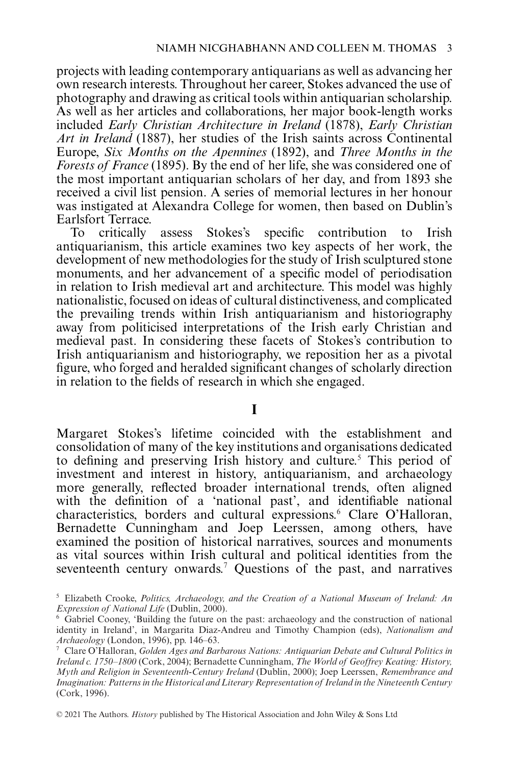projects with leading contemporary antiquarians as well as advancing her own research interests. Throughout her career, Stokes advanced the use of photography and drawing as critical tools within antiquarian scholarship. As well as her articles and collaborations, her major book-length works included *Early Christian Architecture in Ireland* (1878), *Early Christian Art in Ireland* (1887), her studies of the Irish saints across Continental Europe, *Six Months on the Apennines* (1892), and *Three Months in the Forests of France* (1895). By the end of her life, she was considered one of the most important antiquarian scholars of her day, and from 1893 she received a civil list pension. A series of memorial lectures in her honour was instigated at Alexandra College for women, then based on Dublin's Earlsfort Terrace.<br>To critically

assess Stokes's specific contribution to Irish antiquarianism, this article examines two key aspects of her work, the development of new methodologies for the study of Irish sculptured stone monuments, and her advancement of a specific model of periodisation in relation to Irish medieval art and architecture. This model was highly nationalistic, focused on ideas of cultural distinctiveness, and complicated the prevailing trends within Irish antiquarianism and historiography away from politicised interpretations of the Irish early Christian and medieval past. In considering these facets of Stokes's contribution to Irish antiquarianism and historiography, we reposition her as a pivotal figure, who forged and heralded significant changes of scholarly direction in relation to the fields of research in which she engaged.

#### I

**I** Margaret Stokes's lifetime coincided with the establishment and consolidation of many of the key institutions and organisations dedicated to defining and preserving Irish history and culture.<sup>5</sup> This period of investment and interest in history, antiquarianism, and archaeology more generally, reflected broader international trends, often aligned with the definition of a 'national past', and identifiable national characteristics, borders and cultural expressions.<sup>6</sup> Clare O'Halloran, Bernadette Cunningham and Joep Leerssen, among others, have examined the position of historical narratives, sources and monuments as vital sources within Irish cultural and political identities from the seventeenth century onwards.7 Questions of the past, and narratives

<sup>5</sup> Elizabeth Crooke, *Politics, Archaeology, and the Creation of a National Museum of Ireland: An Expression of National Life* (Dublin, 2000).

<sup>6</sup> Gabriel Cooney, 'Building the future on the past: archaeology and the construction of national identity in Ireland', in Margarita Diaz-Andreu and Timothy Champion (eds), *Nationalism and Archaeology* (London, 1996), pp. 146–63.

<sup>7</sup> Clare O'Halloran, *Golden Ages and Barbarous Nations: Antiquarian Debate and Cultural Politics in Ireland c. 1750–1800* (Cork, 2004); Bernadette Cunningham, *The World of Geoffrey Keating: History, Myth and Religion in Seventeenth-Century Ireland* (Dublin, 2000); Joep Leerssen, *Remembrance and Imagination: Patterns in the Historical and Literary Representation of Ireland in the Nineteenth Century* (Cork, 1996).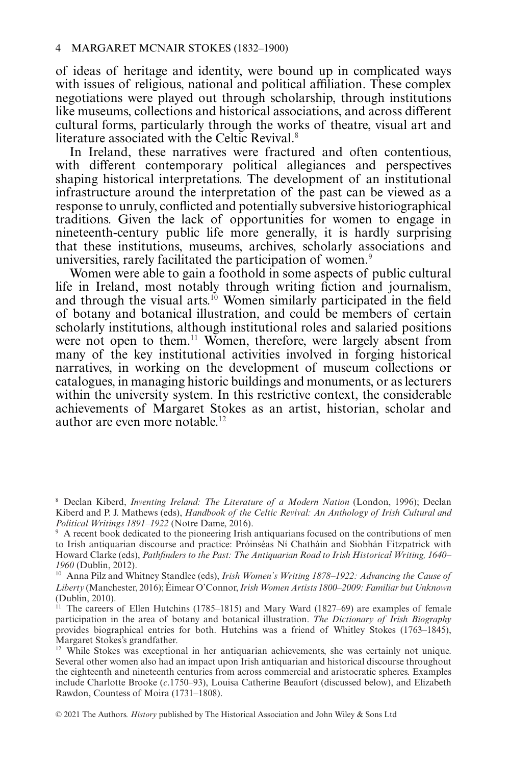of ideas of heritage and identity, were bound up in complicated ways with issues of religious, national and political affiliation. These complex negotiations were played out through scholarship, through institutions like museums, collections and historical associations, and across different cultural forms, particularly through the works of theatre, visual art and literature associated with the Celtic Revival.<sup>8</sup>

In Ireland, these narratives were fractured and often contentious, with different contemporary political allegiances and perspectives shaping historical interpretations. The development of an institutional infrastructure around the interpretation of the past can be viewed as a response to unruly, conflicted and potentially subversive historiographical traditions. Given the lack of opportunities for women to engage in nineteenth-century public life more generally, it is hardly surprising that these institutions, museums, archives, scholarly associations and universities, rarely facilitated the participation of women.<sup>9</sup>

Women were able to gain a foothold in some aspects of public cultural life in Ireland, most notably through writing fiction and journalism, and through the visual arts.<sup>10</sup> Women similarly participated in the field of botany and botanical illustration, and could be members of certain scholarly institutions, although institutional roles and salaried positions were not open to them.<sup>11</sup> Women, therefore, were largely absent from many of the key institutional activities involved in forging historical narratives, in working on the development of museum collections or catalogues, in managing historic buildings and monuments, or as lecturers within the university system. In this restrictive context, the considerable achievements of Margaret Stokes as an artist, historian, scholar and author are even more notable.<sup>12</sup>

<sup>10</sup> Anna Pilz and Whitney Standlee (eds), *Irish Women's Writing 1878–1922: Advancing the Cause of Liberty* (Manchester, 2016); Éimear O'Connor,*Irish Women Artists 1800–2009: Familiar but Unknown* (Dublin, 2010).

<sup>8</sup> Declan Kiberd, *Inventing Ireland: The Literature of a Modern Nation* (London, 1996); Declan Kiberd and P. J. Mathews (eds), *Handbook of the Celtic Revival: An Anthology of Irish Cultural and Political Writings 1891–1922* (Notre Dame, 2016).

<sup>&</sup>lt;sup>9</sup> A recent book dedicated to the pioneering Irish antiquarians focused on the contributions of men to Irish antiquarian discourse and practice: Próinséas Ní Chatháin and Siobhán Fitzpatrick with Howard Clarke (eds), *Pathfinders to the Past: The Antiquarian Road to Irish Historical Writing, 1640– 1960* (Dublin, 2012).

<sup>&</sup>lt;sup>11</sup> The careers of Ellen Hutchins (1785–1815) and Mary Ward (1827–69) are examples of female participation in the area of botany and botanical illustration. *The Dictionary of Irish Biography* provides biographical entries for both. Hutchins was a friend of Whitley Stokes (1763–1845), Margaret Stokes's grandfather.

 $12$  While Stokes was exceptional in her antiquarian achievements, she was certainly not unique. Several other women also had an impact upon Irish antiquarian and historical discourse throughout the eighteenth and nineteenth centuries from across commercial and aristocratic spheres. Examples include Charlotte Brooke (*c*.1750–93), Louisa Catherine Beaufort (discussed below), and Elizabeth Rawdon, Countess of Moira (1731–1808).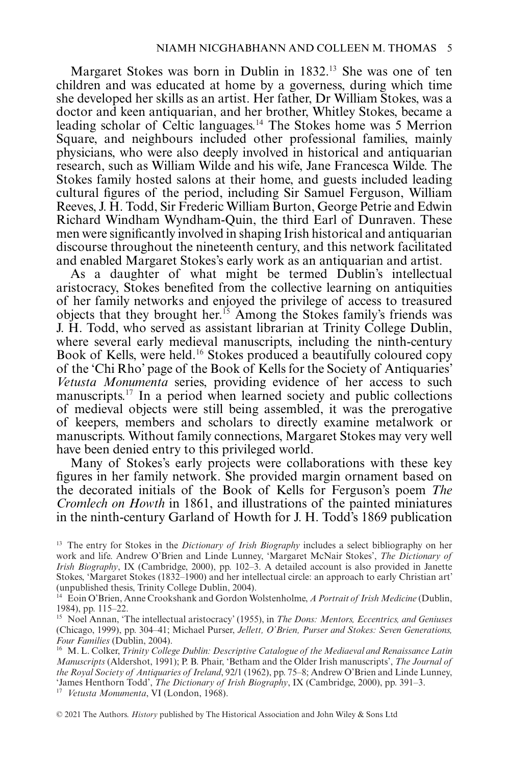Margaret Stokes was born in Dublin in 1832.13 She was one of ten children and was educated at home by a governess, during which time she developed her skills as an artist. Her father, Dr William Stokes, was a doctor and keen antiquarian, and her brother, Whitley Stokes, became a leading scholar of Celtic languages.<sup>14</sup> The Stokes home was 5 Merrion Square, and neighbours included other professional families, mainly physicians, who were also deeply involved in historical and antiquarian research, such as William Wilde and his wife, Jane Francesca Wilde. The Stokes family hosted salons at their home, and guests included leading cultural figures of the period, including Sir Samuel Ferguson, William Reeves, J. H. Todd, Sir Frederic William Burton, George Petrie and Edwin Richard Windham Wyndham-Quin, the third Earl of Dunraven. These men were significantly involved in shaping Irish historical and antiquarian discourse throughout the nineteenth century, and this network facilitated and enabled Margaret Stokes's early work as an antiquarian and artist.

As a daughter of what might be termed Dublin's intellectual aristocracy, Stokes benefited from the collective learning on antiquities of her family networks and enjoyed the privilege of access to treasured objects that they brought her.15 Among the Stokes family's friends was J. H. Todd, who served as assistant librarian at Trinity College Dublin, where several early medieval manuscripts, including the ninth-century Book of Kells, were held.<sup>16</sup> Stokes produced a beautifully coloured copy of the 'Chi Rho' page of the Book of Kells for the Society of Antiquaries' *Vetusta Monumenta* series, providing evidence of her access to such manuscripts.17 In a period when learned society and public collections of medieval objects were still being assembled, it was the prerogative of keepers, members and scholars to directly examine metalwork or manuscripts. Without family connections, Margaret Stokes may very well have been denied entry to this privileged world.

Many of Stokes's early projects were collaborations with these key figures in her family network. She provided margin ornament based on the decorated initials of the Book of Kells for Ferguson's poem *The Cromlech on Howth* in 1861, and illustrations of the painted miniatures in the ninth-century Garland of Howth for J. H. Todd's 1869 publication

<sup>17</sup> *Vetusta Monumenta*, VI (London, 1968).

<sup>13</sup> The entry for Stokes in the *Dictionary of Irish Biography* includes a select bibliography on her work and life. Andrew O'Brien and Linde Lunney, 'Margaret McNair Stokes', *The Dictionary of Irish Biography*, IX (Cambridge, 2000), pp. 102–3. A detailed account is also provided in Janette Stokes, 'Margaret Stokes (1832–1900) and her intellectual circle: an approach to early Christian art' (unpublished thesis, Trinity College Dublin, 2004).

<sup>14</sup> Eoin O'Brien, Anne Crookshank and Gordon Wolstenholme, *A Portrait of Irish Medicine* (Dublin, 1984), pp. 115–22.

<sup>15</sup> Noel Annan, 'The intellectual aristocracy' (1955), in *The Dons: Mentors, Eccentrics, and Geniuses* (Chicago, 1999), pp. 304–41; Michael Purser, *Jellett, O'Brien, Purser and Stokes: Seven Generations, Four Families* (Dublin, 2004).

<sup>16</sup> M. L. Colker, *Trinity College Dublin: Descriptive Catalogue of the Mediaeval and Renaissance Latin Manuscripts* (Aldershot, 1991); P. B. Phair, 'Betham and the Older Irish manuscripts', *The Journal of the Royal Society of Antiquaries of Ireland*, 92/1 (1962), pp. 75–8; Andrew O'Brien and Linde Lunney, 'James Henthorn Todd', *The Dictionary of Irish Biography*, IX (Cambridge, 2000), pp. 391–3.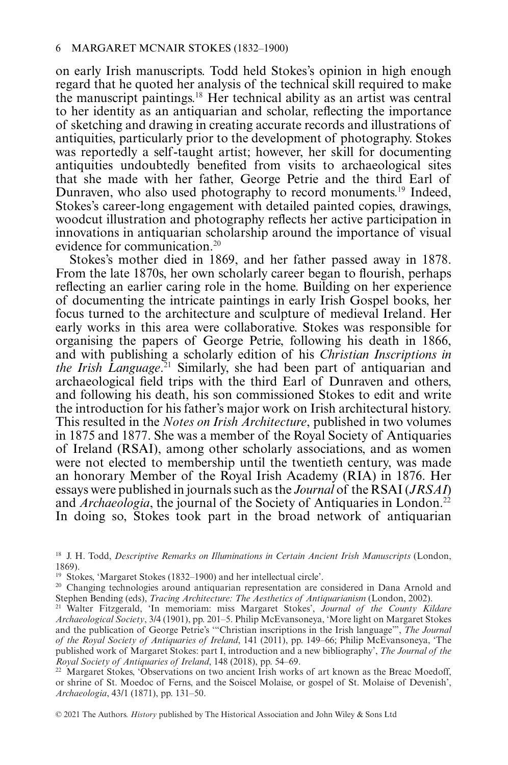on early Irish manuscripts. Todd held Stokes's opinion in high enough regard that he quoted her analysis of the technical skill required to make the manuscript paintings.18 Her technical ability as an artist was central to her identity as an antiquarian and scholar, reflecting the importance of sketching and drawing in creating accurate records and illustrations of antiquities, particularly prior to the development of photography. Stokes was reportedly a self -taught artist; however, her skill for documenting antiquities undoubtedly benefited from visits to archaeological sites that she made with her father, George Petrie and the third Earl of Dunraven, who also used photography to record monuments.19 Indeed, Stokes's career-long engagement with detailed painted copies, drawings, woodcut illustration and photography reflects her active participation in innovations in antiquarian scholarship around the importance of visual evidence for communication.20

Stokes's mother died in 1869, and her father passed away in 1878. From the late 1870s, her own scholarly career began to flourish, perhaps reflecting an earlier caring role in the home. Building on her experience of documenting the intricate paintings in early Irish Gospel books, her focus turned to the architecture and sculpture of medieval Ireland. Her early works in this area were collaborative. Stokes was responsible for organising the papers of George Petrie, following his death in 1866, and with publishing a scholarly edition of his *Christian Inscriptions in the Irish Language*. <sup>21</sup> Similarly, she had been part of antiquarian and archaeological field trips with the third Earl of Dunraven and others, and following his death, his son commissioned Stokes to edit and write the introduction for his father's major work on Irish architectural history. This resulted in the *Notes on Irish Architecture*, published in two volumes in 1875 and 1877. She was a member of the Royal Society of Antiquaries of Ireland (RSAI), among other scholarly associations, and as women were not elected to membership until the twentieth century, was made an honorary Member of the Royal Irish Academy (RIA) in 1876. Her essays were published in journals such as the *Journal* of the RSAI (*JRSAI*) and *Archaeologia*, the journal of the Society of Antiquaries in London.<sup>22</sup> In doing so, Stokes took part in the broad network of antiquarian

<sup>18</sup> J. H. Todd, *Descriptive Remarks on Illuminations in Certain Ancient Irish Manuscripts* (London, 1869).

<sup>19</sup> Stokes, 'Margaret Stokes (1832–1900) and her intellectual circle'.

 $20$  Changing technologies around antiquarian representation are considered in Dana Arnold and Stephen Bending (eds), *Tracing Architecture: The Aesthetics of Antiquarianism* (London, 2002).

<sup>21</sup> Walter Fitzgerald, 'In memoriam: miss Margaret Stokes', *Journal of the County Kildare Archaeological Society*, 3/4 (1901), pp. 201–5. Philip McEvansoneya, 'More light on Margaret Stokes and the publication of George Petrie's '"Christian inscriptions in the Irish language"', *The Journal of the Royal Society of Antiquaries of Ireland*, 141 (2011), pp. 149–66; Philip McEvansoneya, 'The published work of Margaret Stokes: part I, introduction and a new bibliography', *The Journal of the Royal Society of Antiquaries of Ireland*, 148 (2018), pp. 54–69.

<sup>&</sup>lt;sup>22</sup> Margaret Stokes, 'Observations on two ancient Irish works of art known as the Breac Moedoff, or shrine of St. Moedoc of Ferns, and the Soiscel Molaise, or gospel of St. Molaise of Devenish', *Archaeologia*, 43/1 (1871), pp. 131–50.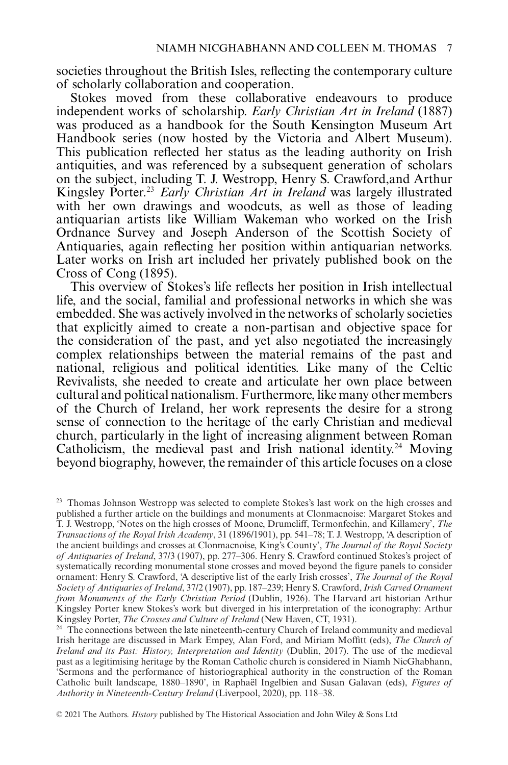societies throughout the British Isles, reflecting the contemporary culture of scholarly collaboration and cooperation.

Stokes moved from these collaborative endeavours to produce independent works of scholarship. *Early Christian Art in Ireland* (1887) was produced as a handbook for the South Kensington Museum Art Handbook series (now hosted by the Victoria and Albert Museum). This publication reflected her status as the leading authority on Irish antiquities, and was referenced by a subsequent generation of scholars on the subject, including T. J. Westropp, Henry S. Crawford,and Arthur Kingsley Porter.23 *Early Christian Art in Ireland* was largely illustrated with her own drawings and woodcuts, as well as those of leading antiquarian artists like William Wakeman who worked on the Irish Ordnance Survey and Joseph Anderson of the Scottish Society of Antiquaries, again reflecting her position within antiquarian networks. Later works on Irish art included her privately published book on the Cross of Cong (1895).

This overview of Stokes's life reflects her position in Irish intellectual life, and the social, familial and professional networks in which she was embedded. She was actively involved in the networks of scholarly societies that explicitly aimed to create a non-partisan and objective space for the consideration of the past, and yet also negotiated the increasingly complex relationships between the material remains of the past and national, religious and political identities. Like many of the Celtic Revivalists, she needed to create and articulate her own place between cultural and political nationalism. Furthermore, like many other members of the Church of Ireland, her work represents the desire for a strong sense of connection to the heritage of the early Christian and medieval church, particularly in the light of increasing alignment between Roman Catholicism, the medieval past and Irish national identity.<sup>24</sup> Moving beyond biography, however, the remainder of this article focuses on a close

<sup>&</sup>lt;sup>23</sup> Thomas Johnson Westropp was selected to complete Stokes's last work on the high crosses and published a further article on the buildings and monuments at Clonmacnoise: Margaret Stokes and T. J. Westropp, 'Notes on the high crosses of Moone, Drumcliff, Termonfechin, and Killamery', *The Transactions of the Royal Irish Academy*, 31 (1896/1901), pp. 541–78; T. J. Westropp, 'A description of the ancient buildings and crosses at Clonmacnoise, King's County', *The Journal of the Royal Society of Antiquaries of Ireland*, 37/3 (1907), pp. 277–306. Henry S. Crawford continued Stokes's project of systematically recording monumental stone crosses and moved beyond the figure panels to consider ornament: Henry S. Crawford, 'A descriptive list of the early Irish crosses', *The Journal of the Royal Society of Antiquaries of Ireland*, 37/2 (1907), pp. 187–239; Henry S. Crawford,*Irish Carved Ornament from Monuments of the Early Christian Period* (Dublin, 1926). The Harvard art historian Arthur Kingsley Porter knew Stokes's work but diverged in his interpretation of the iconography: Arthur Kingsley Porter, *The Crosses and Culture of Ireland* (New Haven, CT, 1931).

<sup>&</sup>lt;sup>24</sup> The connections between the late nineteenth-century Church of Ireland community and medieval Irish heritage are discussed in Mark Empey, Alan Ford, and Miriam Moffitt (eds), *The Church of Ireland and its Past: History, Interpretation and Identity* (Dublin, 2017). The use of the medieval past as a legitimising heritage by the Roman Catholic church is considered in Niamh NicGhabhann, 'Sermons and the performance of historiographical authority in the construction of the Roman Catholic built landscape, 1880–1890', in Raphaël Ingelbien and Susan Galavan (eds), *Figures of Authority in Nineteenth-Century Ireland* (Liverpool, 2020), pp. 118–38.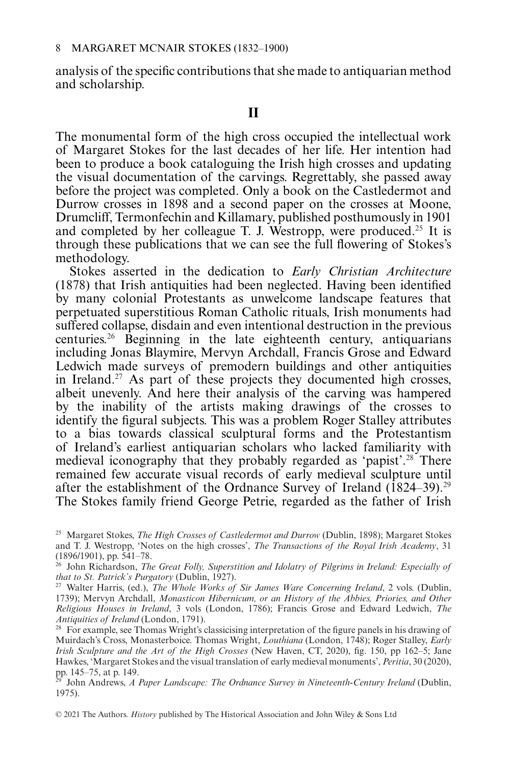analysis of the specific contributions that she made to antiquarian method and scholarship.

### $\mathbf{H}$

The monumental form of the high cross occupied the intellectual work of Margaret Stokes for the last decades of her life. Her intention had been to produce a book cataloguing the Irish high crosses and updating the visual documentation of the carvings. Regrettably, she passed away before the project was completed. Only a book on the Castledermot and Durrow crosses in 1898 and a second paper on the crosses at Moone, Drumcliff, Termonfechin and Killamary, published posthumously in 1901 and completed by her colleague T. J. Westropp, were produced.<sup>25</sup> It is through these publications that we can see the full flowering of Stokes's methodology.

Stokes asserted in the dedication to *Early Christian Architecture* (1878) that Irish antiquities had been neglected. Having been identified by many colonial Protestants as unwelcome landscape features that perpetuated superstitious Roman Catholic rituals, Irish monuments had suffered collapse, disdain and even intentional destruction in the previous centuries.<sup>26</sup> Beginning in the late eighteenth century, antiquarians including Jonas Blaymire, Mervyn Archdall, Francis Grose and Edward Ledwich made surveys of premodern buildings and other antiquities in Ireland.<sup>27</sup> As part of these projects they documented high crosses, albeit unevenly. And here their analysis of the carving was hampered by the inability of the artists making drawings of the crosses to identify the figural subjects. This was a problem Roger Stalley attributes to a bias towards classical sculptural forms and the Protestantism of Ireland's earliest antiquarian scholars who lacked familiarity with medieval iconography that they probably regarded as 'papist'.28 There remained few accurate visual records of early medieval sculpture until after the establishment of the Ordnance Survey of Ireland  $(1824-39)$ .<sup>29</sup> The Stokes family friend George Petrie, regarded as the father of Irish

<sup>25</sup> Margaret Stokes, *The High Crosses of Castledermot and Durrow* (Dublin, 1898); Margaret Stokes and T. J. Westropp, 'Notes on the high crosses', *The Transactions of the Royal Irish Academy*, 31 (1896/1901), pp. 541–78.

<sup>26</sup> John Richardson, *The Great Folly, Superstition and Idolatry of Pilgrims in Ireland: Especially of that to St. Patrick's Purgatory* (Dublin, 1927).

<sup>27</sup> Walter Harris, (ed.), *The Whole Works of Sir James Ware Concerning Ireland*, 2 vols. (Dublin, 1739); Mervyn Archdall, *Monasticon Hibernicum, or an History of the Abbies, Priories, and Other Religious Houses in Ireland*, 3 vols (London, 1786); Francis Grose and Edward Ledwich, *The Antiquities of Ireland* (London, 1791).

<sup>&</sup>lt;sup>28</sup> For example, see Thomas Wright's classicising interpretation of the figure panels in his drawing of Muirdach's Cross, Monasterboice. Thomas Wright, *Louthiana* (London, 1748); Roger Stalley, *Early Irish Sculpture and the Art of the High Crosses* (New Haven, CT, 2020), fig. 150, pp 162–5; Jane Hawkes, 'Margaret Stokes and the visual translation of early medieval monuments', *Peritia*, 30 (2020), pp. 145–75, at p. 149.

<sup>29</sup> John Andrews, *A Paper Landscape: The Ordnance Survey in Nineteenth-Century Ireland* (Dublin, 1975).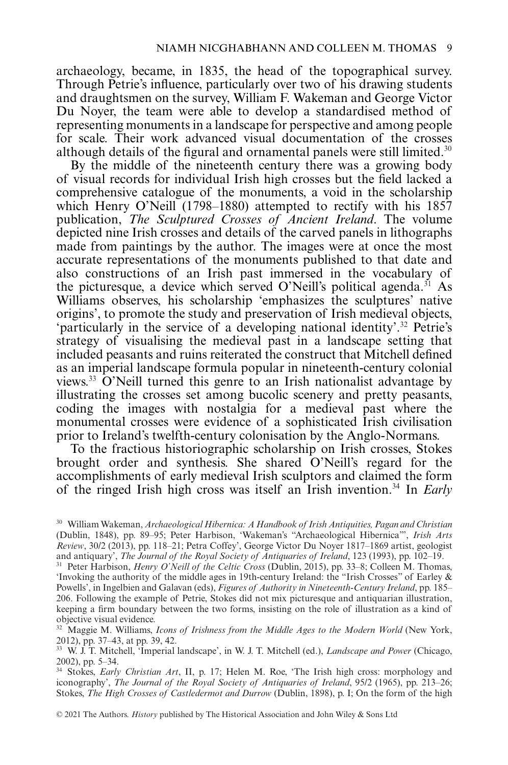archaeology, became, in 1835, the head of the topographical survey. Through Petrie's influence, particularly over two of his drawing students and draughtsmen on the survey, William F. Wakeman and George Victor Du Noyer, the team were able to develop a standardised method of representing monuments in a landscape for perspective and among people for scale. Their work advanced visual documentation of the crosses although details of the figural and ornamental panels were still limited.<sup>30</sup>

By the middle of the nineteenth century there was a growing body of visual records for individual Irish high crosses but the field lacked a comprehensive catalogue of the monuments, a void in the scholarship which Henry O'Neill (1798–1880) attempted to rectify with his 1857 publication, *The Sculptured Crosses of Ancient Ireland*. The volume depicted nine Irish crosses and details of the carved panels in lithographs made from paintings by the author. The images were at once the most accurate representations of the monuments published to that date and also constructions of an Irish past immersed in the vocabulary of the picturesque, a device which served O'Neill's political agenda.<sup>31</sup> As Williams observes, his scholarship 'emphasizes the sculptures' native origins', to promote the study and preservation of Irish medieval objects, 'particularly in the service of a developing national identity'.32 Petrie's strategy of visualising the medieval past in a landscape setting that included peasants and ruins reiterated the construct that Mitchell defined as an imperial landscape formula popular in nineteenth-century colonial views.33 O'Neill turned this genre to an Irish nationalist advantage by illustrating the crosses set among bucolic scenery and pretty peasants, coding the images with nostalgia for a medieval past where the monumental crosses were evidence of a sophisticated Irish civilisation prior to Ireland's twelfth-century colonisation by the Anglo-Normans.

To the fractious historiographic scholarship on Irish crosses, Stokes brought order and synthesis. She shared O'Neill's regard for the accomplishments of early medieval Irish sculptors and claimed the form of the ringed Irish high cross was itself an Irish invention.34 In *Early*

<sup>30</sup> William Wakeman, *Archaeological Hibernica: A Handbook of Irish Antiquities, Pagan and Christian* (Dublin, 1848), pp. 89–95; Peter Harbison, 'Wakeman's "Archaeological Hibernica"', *Irish Arts Review*, 30/2 (2013), pp. 118–21; Petra Coffey', George Victor Du Noyer 1817–1869 artist, geologist and antiquary', *The Journal of the Royal Society of Antiquaries of Ireland*, 123 (1993), pp. 102–19.

<sup>31</sup> Peter Harbison, *Henry O'Neill of the Celtic Cross* (Dublin, 2015), pp. 33–8; Colleen M. Thomas, 'Invoking the authority of the middle ages in 19th-century Ireland: the "Irish Crosses" of Earley & Powells', in Ingelbien and Galavan (eds), *Figures of Authority in Nineteenth-Century Ireland*, pp. 185– 206. Following the example of Petrie, Stokes did not mix picturesque and antiquarian illustration, keeping a firm boundary between the two forms, insisting on the role of illustration as a kind of objective visual evidence.

<sup>&</sup>lt;sup>32</sup> Maggie M. Williams, *Icons of Irishness from the Middle Ages to the Modern World* (New York, 2012), pp. 37–43, at pp. 39, 42.

<sup>33</sup> W. J. T. Mitchell, 'Imperial landscape', in W. J. T. Mitchell (ed.), *Landscape and Power* (Chicago, 2002), pp. 5–34.

<sup>34</sup> Stokes, *Early Christian Art*, II, p. 17; Helen M. Roe, 'The Irish high cross: morphology and iconography', *The Journal of the Royal Society of Antiquaries of Ireland*, 95/2 (1965), pp. 213–26; Stokes, *The High Crosses of Castledermot and Durrow* (Dublin, 1898), p. I; On the form of the high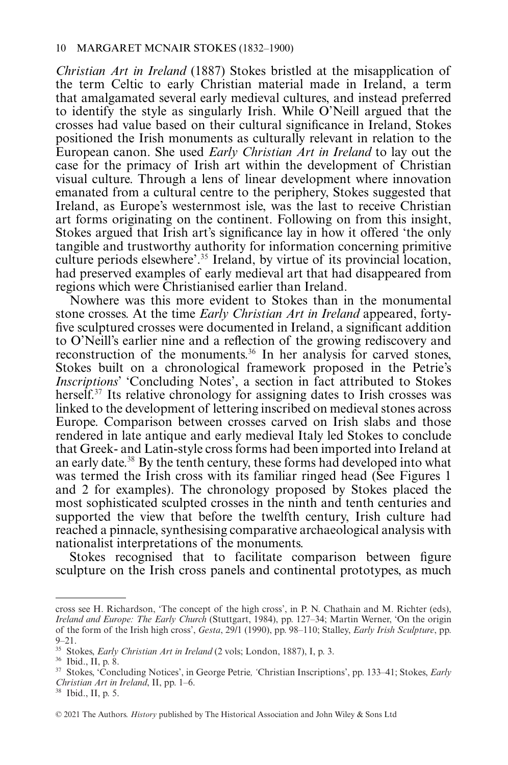*Christian Art in Ireland* (1887) Stokes bristled at the misapplication of the term Celtic to early Christian material made in Ireland, a term that amalgamated several early medieval cultures, and instead preferred to identify the style as singularly Irish. While O'Neill argued that the crosses had value based on their cultural significance in Ireland, Stokes positioned the Irish monuments as culturally relevant in relation to the European canon. She used *Early Christian Art in Ireland* to lay out the case for the primacy of Irish art within the development of Christian visual culture. Through a lens of linear development where innovation emanated from a cultural centre to the periphery, Stokes suggested that Ireland, as Europe's westernmost isle, was the last to receive Christian art forms originating on the continent. Following on from this insight, Stokes argued that Irish art's significance lay in how it offered 'the only tangible and trustworthy authority for information concerning primitive culture periods elsewhere'.35 Ireland, by virtue of its provincial location, had preserved examples of early medieval art that had disappeared from regions which were Christianised earlier than Ireland.

Nowhere was this more evident to Stokes than in the monumental stone crosses. At the time *Early Christian Art in Ireland* appeared, fortyfive sculptured crosses were documented in Ireland, a significant addition to O'Neill's earlier nine and a reflection of the growing rediscovery and reconstruction of the monuments.<sup>36</sup> In her analysis for carved stones, Stokes built on a chronological framework proposed in the Petrie's *Inscriptions*' 'Concluding Notes', a section in fact attributed to Stokes herself.<sup>37</sup> Its relative chronology for assigning dates to Irish crosses was linked to the development of lettering inscribed on medieval stones across Europe. Comparison between crosses carved on Irish slabs and those rendered in late antique and early medieval Italy led Stokes to conclude that Greek- and Latin-style cross forms had been imported into Ireland at an early date.38 By the tenth century, these forms had developed into what was termed the Irish cross with its familiar ringed head (See Figures 1) and 2 for examples). The chronology proposed by Stokes placed the most sophisticated sculpted crosses in the ninth and tenth centuries and supported the view that before the twelfth century, Irish culture had reached a pinnacle, synthesising comparative archaeological analysis with nationalist interpretations of the monuments.

Stokes recognised that to facilitate comparison between figure sculpture on the Irish cross panels and continental prototypes, as much

cross see H. Richardson, 'The concept of the high cross', in P. N. Chathain and M. Richter (eds), *Ireland and Europe: The Early Church* (Stuttgart, 1984), pp. 127–34; Martin Werner, 'On the origin of the form of the Irish high cross', *Gesta*, 29/1 (1990), pp. 98–110; Stalley, *Early Irish Sculpture*, pp. 9–21.

<sup>35</sup> Stokes, *Early Christian Art in Ireland* (2 vols; London, 1887), I, p. 3.

<sup>36</sup> Ibid., II, p. 8.

<sup>37</sup> Stokes, 'Concluding Notices', in George Petrie*, '*Christian Inscriptions', pp. 133–41; Stokes, *Early Christian Art in Ireland*, II, pp. 1–6.

<sup>38</sup> Ibid., II, p. 5.

<sup>© 2021</sup> The Authors. *History* published by The Historical Association and John Wiley & Sons Ltd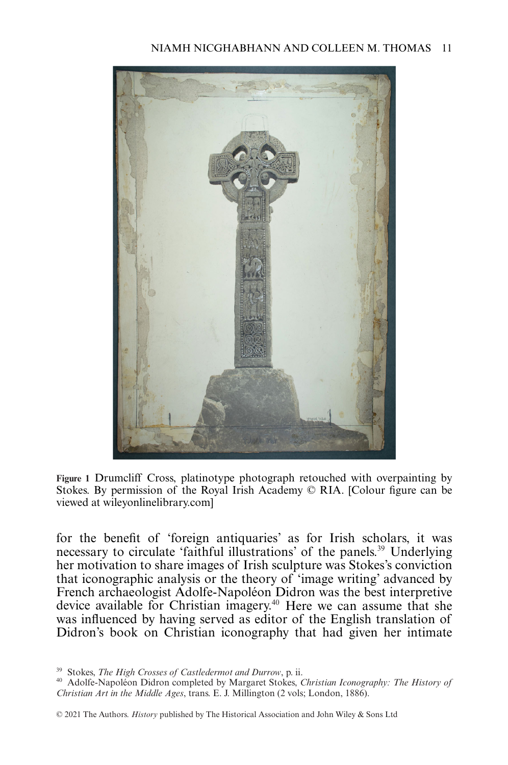

**Figure 1** Drumcliff Cross, platinotype photograph retouched with overpainting by Stokes. By permission of the Royal Irish Academy © RIA. [Colour figure can be viewed at wileyonlinelibrary.com]

for the benefit of 'foreign antiquaries' as for Irish scholars, it was necessary to circulate 'faithful illustrations' of the panels.39 Underlying her motivation to share images of Irish sculpture was Stokes's conviction that iconographic analysis or the theory of 'image writing' advanced by French archaeologist Adolfe-Napoléon Didron was the best interpretive device available for Christian imagery.40 Here we can assume that she was influenced by having served as editor of the English translation of Didron's book on Christian iconography that had given her intimate

<sup>39</sup> Stokes, *The High Crosses of Castledermot and Durrow*, p. ii.

<sup>40</sup> Adolfe-Napoléon Didron completed by Margaret Stokes, *Christian Iconography: The History of Christian Art in the Middle Ages*, trans. E. J. Millington (2 vols; London, 1886).

<sup>© 2021</sup> The Authors. *History* published by The Historical Association and John Wiley & Sons Ltd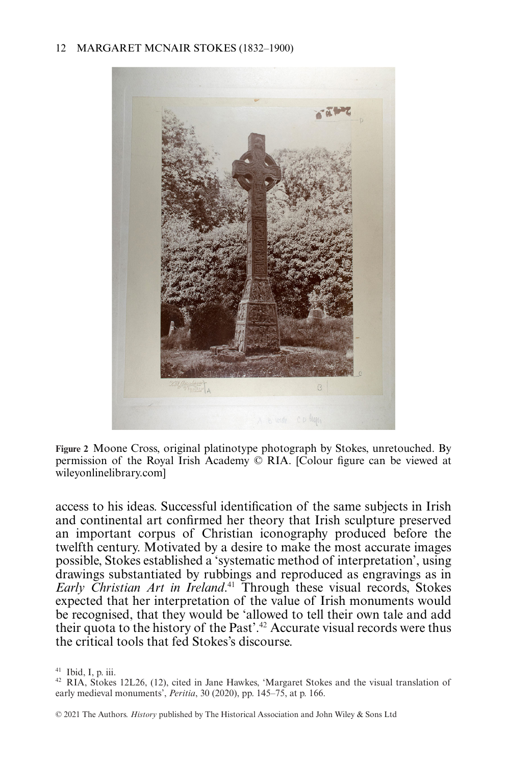#### 12 MARGARET MCNAIR STOKES (1832–1900)



**Figure 2** Moone Cross, original platinotype photograph by Stokes, unretouched. By permission of the Royal Irish Academy © RIA. [Colour figure can be viewed at wileyonlinelibrary.com]

access to his ideas. Successful identification of the same subjects in Irish and continental art confirmed her theory that Irish sculpture preserved an important corpus of Christian iconography produced before the twelfth century. Motivated by a desire to make the most accurate images possible, Stokes established a 'systematic method of interpretation', using drawings substantiated by rubbings and reproduced as engravings as in *Early Christian Art in Ireland*. <sup>41</sup> Through these visual records, Stokes expected that her interpretation of the value of Irish monuments would be recognised, that they would be 'allowed to tell their own tale and add their quota to the history of the Past'.42 Accurate visual records were thus the critical tools that fed Stokes's discourse.

 $41$  Ibid, I, p. iii.

<sup>42</sup> RIA, Stokes 12L26, (12), cited in Jane Hawkes, 'Margaret Stokes and the visual translation of early medieval monuments', *Peritia*, 30 (2020), pp. 145–75, at p. 166.

<sup>© 2021</sup> The Authors. *History* published by The Historical Association and John Wiley & Sons Ltd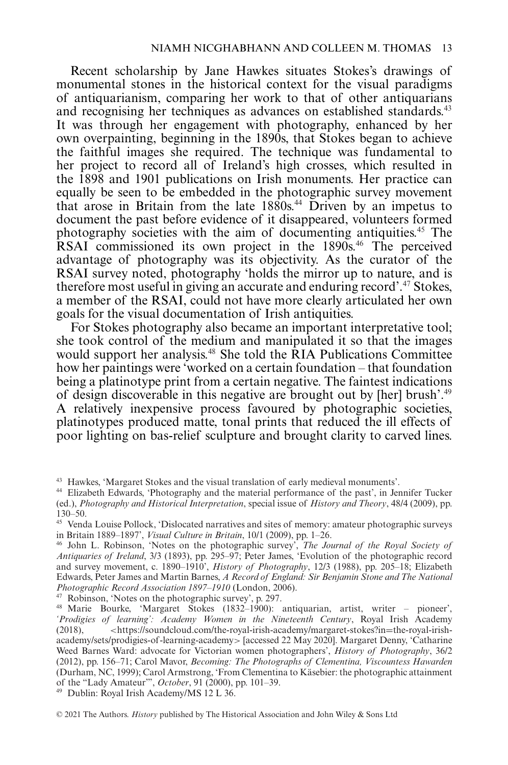Recent scholarship by Jane Hawkes situates Stokes's drawings of monumental stones in the historical context for the visual paradigms of antiquarianism, comparing her work to that of other antiquarians and recognising her techniques as advances on established standards.<sup>43</sup> It was through her engagement with photography, enhanced by her own overpainting, beginning in the 1890s, that Stokes began to achieve the faithful images she required. The technique was fundamental to her project to record all of Ireland's high crosses, which resulted in the 1898 and 1901 publications on Irish monuments. Her practice can equally be seen to be embedded in the photographic survey movement that arose in Britain from the late 1880s.44 Driven by an impetus to document the past before evidence of it disappeared, volunteers formed photography societies with the aim of documenting antiquities.45 The RSAI commissioned its own project in the 1890s.<sup>46</sup> The perceived advantage of photography was its objectivity. As the curator of the RSAI survey noted, photography 'holds the mirror up to nature, and is therefore most useful in giving an accurate and enduring record'.47 Stokes, a member of the RSAI, could not have more clearly articulated her own goals for the visual documentation of Irish antiquities.

For Stokes photography also became an important interpretative tool; she took control of the medium and manipulated it so that the images would support her analysis.<sup>48</sup> She told the RIA Publications Committee how her paintings were 'worked on a certain foundation – that foundation being a platinotype print from a certain negative. The faintest indications of design discoverable in this negative are brought out by [her] brush'.49 A relatively inexpensive process favoured by photographic societies, platinotypes produced matte, tonal prints that reduced the ill effects of poor lighting on bas-relief sculpture and brought clarity to carved lines.

<sup>47</sup> Robinson, 'Notes on the photographic survey', p. 297.

<sup>49</sup> Dublin: Royal Irish Academy/MS 12 L 36.

<sup>43</sup> Hawkes, 'Margaret Stokes and the visual translation of early medieval monuments'.

<sup>44</sup> Elizabeth Edwards, 'Photography and the material performance of the past', in Jennifer Tucker (ed.), *Photography and Historical Interpretation*, special issue of *History and Theory*, 48/4 (2009), pp. 130–50.

<sup>45</sup> Venda Louise Pollock, 'Dislocated narratives and sites of memory: amateur photographic surveys in Britain 1889–1897', *Visual Culture in Britain*, 10/1 (2009), pp. 1–26.

<sup>46</sup> John L. Robinson, 'Notes on the photographic survey', *The Journal of the Royal Society of Antiquaries of Ireland*, 3/3 (1893), pp. 295–97; Peter James, 'Evolution of the photographic record and survey movement, c. 1890–1910', *History of Photography*, 12/3 (1988), pp. 205–18; Elizabeth Edwards, Peter James and Martin Barnes, *A Record of England: Sir Benjamin Stone and The National Photographic Record Association 1897–1910* (London, 2006).

<sup>48</sup> Marie Bourke, 'Margaret Stokes (1832–1900): antiquarian, artist, writer – pioneer', *'Prodigies of learning': Academy Women in the Nineteenth Century*, Royal Irish Academy (2018), *<*https://soundcloud.com/the-royal-irish-academy/margaret-stokes?in=the-royal-irishacademy/sets/prodigies-of -learning-academy*>* [accessed 22 May 2020]. Margaret Denny, 'Catharine Weed Barnes Ward: advocate for Victorian women photographers', *History of Photography*, 36/2 (2012), pp. 156–71; Carol Mavor, *Becoming: The Photographs of Clementina, Viscountess Hawarden* (Durham, NC, 1999); Carol Armstrong, 'From Clementina to Käsebier: the photographic attainment of the "Lady Amateur"', *October*, 91 (2000), pp. 101–39.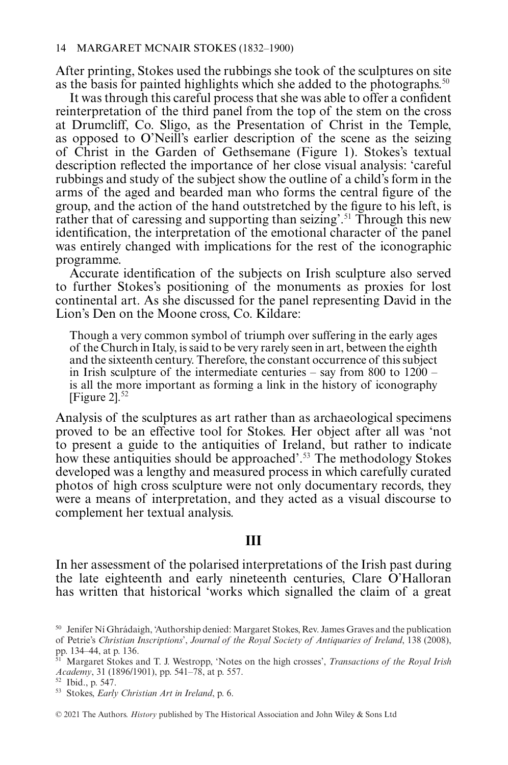After printing, Stokes used the rubbings she took of the sculptures on site as the basis for painted highlights which she added to the photographs.<sup>50</sup>

It was through this careful process that she was able to offer a confident reinterpretation of the third panel from the top of the stem on the cross at Drumcliff, Co. Sligo, as the Presentation of Christ in the Temple, as opposed to O'Neill's earlier description of the scene as the seizing of Christ in the Garden of Gethsemane (Figure 1). Stokes's textual description reflected the importance of her close visual analysis: 'careful rubbings and study of the subject show the outline of a child's form in the arms of the aged and bearded man who forms the central figure of the group, and the action of the hand outstretched by the figure to his left, is rather that of caressing and supporting than seizing'.<sup>51</sup> Through this new identification, the interpretation of the emotional character of the panel was entirely changed with implications for the rest of the iconographic programme.

Accurate identification of the subjects on Irish sculpture also served to further Stokes's positioning of the monuments as proxies for lost continental art. As she discussed for the panel representing David in the Lion's Den on the Moone cross, Co. Kildare:

Though a very common symbol of triumph over suffering in the early ages of the Church in Italy, is said to be very rarely seen in art, between the eighth and the sixteenth century. Therefore, the constant occurrence of this subject in Irish sculpture of the intermediate centuries – say from  $800$  to  $1200$ is all the more important as forming a link in the history of iconography [Figure  $2$ ].<sup>52</sup>

Analysis of the sculptures as art rather than as archaeological specimens proved to be an effective tool for Stokes. Her object after all was 'not to present a guide to the antiquities of Ireland, but rather to indicate how these antiquities should be approached'.<sup>53</sup> The methodology Stokes developed was a lengthy and measured process in which carefully curated photos of high cross sculpture were not only documentary records, they were a means of interpretation, and they acted as a visual discourse to complement her textual analysis.

#### Ш

In her assessment of the polarised interpretations of the Irish past during the late eighteenth and early nineteenth centuries, Clare O'Halloran has written that historical 'works which signalled the claim of a great

<sup>&</sup>lt;sup>50</sup> Jenifer Ní Ghrádaigh, 'Authorship denied: Margaret Stokes, Rev. James Graves and the publication of Petrie's *Christian Inscriptions*', *Journal of the Royal Society of Antiquaries of Ireland*, 138 (2008), pp. 134–44, at p. 136.

<sup>51</sup> Margaret Stokes and T. J. Westropp, 'Notes on the high crosses', *Transactions of the Royal Irish Academy*, 31 (1896/1901), pp. 541–78, at p. 557.

<sup>52</sup> Ibid., p. 547.

<sup>53</sup> Stokes, *Early Christian Art in Ireland*, p. 6.

<sup>© 2021</sup> The Authors. *History* published by The Historical Association and John Wiley & Sons Ltd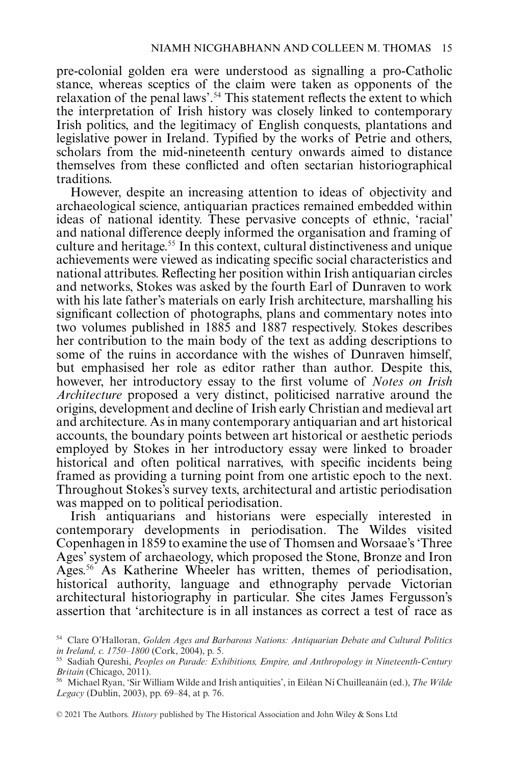pre-colonial golden era were understood as signalling a pro-Catholic stance, whereas sceptics of the claim were taken as opponents of the relaxation of the penal laws'.<sup>54</sup> This statement reflects the extent to which the interpretation of Irish history was closely linked to contemporary Irish politics, and the legitimacy of English conquests, plantations and legislative power in Ireland. Typified by the works of Petrie and others, scholars from the mid-nineteenth century onwards aimed to distance themselves from these conflicted and often sectarian historiographical traditions.

However, despite an increasing attention to ideas of objectivity and archaeological science, antiquarian practices remained embedded within ideas of national identity. These pervasive concepts of ethnic, 'racial' and national difference deeply informed the organisation and framing of culture and heritage.55 In this context, cultural distinctiveness and unique achievements were viewed as indicating specific social characteristics and national attributes. Reflecting her position within Irish antiquarian circles and networks, Stokes was asked by the fourth Earl of Dunraven to work with his late father's materials on early Irish architecture, marshalling his significant collection of photographs, plans and commentary notes into two volumes published in 1885 and 1887 respectively. Stokes describes her contribution to the main body of the text as adding descriptions to some of the ruins in accordance with the wishes of Dunraven himself, but emphasised her role as editor rather than author. Despite this, however, her introductory essay to the first volume of *Notes on Irish Architecture* proposed a very distinct, politicised narrative around the origins, development and decline of Irish early Christian and medieval art and architecture. As in many contemporary antiquarian and art historical accounts, the boundary points between art historical or aesthetic periods employed by Stokes in her introductory essay were linked to broader historical and often political narratives, with specific incidents being framed as providing a turning point from one artistic epoch to the next. Throughout Stokes's survey texts, architectural and artistic periodisation was mapped on to political periodisation.

Irish antiquarians and historians were especially interested in contemporary developments in periodisation. The Wildes visited Copenhagen in 1859 to examine the use of Thomsen and Worsaae's 'Three Ages' system of archaeology, which proposed the Stone, Bronze and Iron Ages.56 As Katherine Wheeler has written, themes of periodisation, historical authority, language and ethnography pervade Victorian architectural historiography in particular. She cites James Fergusson's assertion that 'architecture is in all instances as correct a test of race as

<sup>54</sup> Clare O'Halloran, *Golden Ages and Barbarous Nations: Antiquarian Debate and Cultural Politics in Ireland, c. 1750–1800* (Cork, 2004), p. 5.

<sup>55</sup> Sadiah Qureshi, *Peoples on Parade: Exhibitions, Empire, and Anthropology in Nineteenth-Century Britain* (Chicago, 2011).

<sup>56</sup> Michael Ryan, 'Sir William Wilde and Irish antiquities', in Eiléan Ní Chuilleanáin (ed.), *The Wilde Legacy* (Dublin, 2003), pp. 69–84, at p. 76.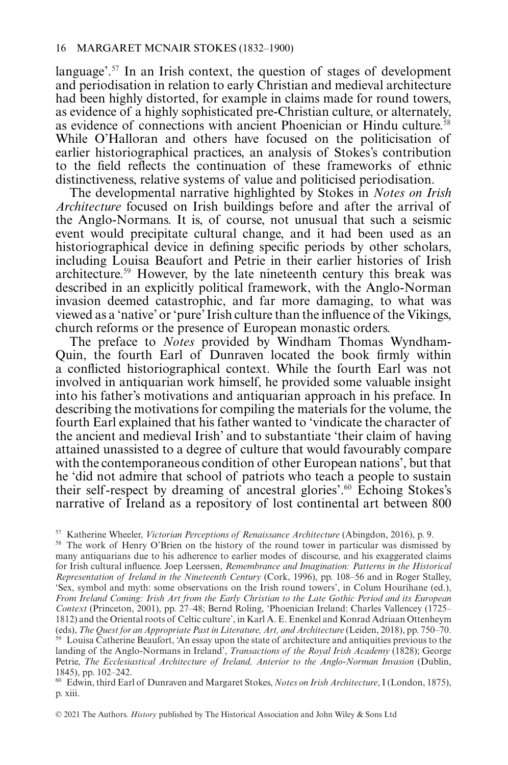language'.57 In an Irish context, the question of stages of development and periodisation in relation to early Christian and medieval architecture had been highly distorted, for example in claims made for round towers, as evidence of a highly sophisticated pre-Christian culture, or alternately, as evidence of connections with ancient Phoenician or Hindu culture.58 While O'Halloran and others have focused on the politicisation of earlier historiographical practices, an analysis of Stokes's contribution to the field reflects the continuation of these frameworks of ethnic distinctiveness, relative systems of value and politicised periodisation.

The developmental narrative highlighted by Stokes in *Notes on Irish Architecture* focused on Irish buildings before and after the arrival of the Anglo-Normans. It is, of course, not unusual that such a seismic event would precipitate cultural change, and it had been used as an historiographical device in defining specific periods by other scholars, including Louisa Beaufort and Petrie in their earlier histories of Irish architecture.59 However, by the late nineteenth century this break was described in an explicitly political framework, with the Anglo-Norman invasion deemed catastrophic, and far more damaging, to what was viewed as a 'native' or 'pure' Irish culture than the influence of the Vikings, church reforms or the presence of European monastic orders.

The preface to *Notes* provided by Windham Thomas Wyndham-Quin, the fourth Earl of Dunraven located the book firmly within a conflicted historiographical context. While the fourth Earl was not involved in antiquarian work himself, he provided some valuable insight into his father's motivations and antiquarian approach in his preface. In describing the motivations for compiling the materials for the volume, the fourth Earl explained that his father wanted to 'vindicate the character of the ancient and medieval Irish' and to substantiate 'their claim of having attained unassisted to a degree of culture that would favourably compare with the contemporaneous condition of other European nations', but that he 'did not admire that school of patriots who teach a people to sustain their self -respect by dreaming of ancestral glories'.60 Echoing Stokes's narrative of Ireland as a repository of lost continental art between 800

<sup>57</sup> Katherine Wheeler, *Victorian Perceptions of Renaissance Architecture* (Abingdon, 2016), p. 9.

<sup>58</sup> The work of Henry O'Brien on the history of the round tower in particular was dismissed by many antiquarians due to his adherence to earlier modes of discourse, and his exaggerated claims for Irish cultural influence. Joep Leerssen, *Remembrance and Imagination: Patterns in the Historical Representation of Ireland in the Nineteenth Century* (Cork, 1996), pp. 108–56 and in Roger Stalley, 'Sex, symbol and myth: some observations on the Irish round towers', in Colum Hourihane (ed.), *From Ireland Coming: Irish Art from the Early Christian to the Late Gothic Period and its European Context* (Princeton, 2001), pp. 27–48; Bernd Roling, 'Phoenician Ireland: Charles Vallencey (1725– 1812) and the Oriental roots of Celtic culture', in Karl A. E. Enenkel and Konrad Adriaan Ottenheym (eds), *The Quest for an Appropriate Past in Literature, Art, and Architecture* (Leiden, 2018), pp. 750–70.

<sup>59</sup> Louisa Catherine Beaufort, 'An essay upon the state of architecture and antiquities previous to the landing of the Anglo-Normans in Ireland', *Transactions of the Royal Irish Academy* (1828); George Petrie, *The Ecclesiastical Architecture of Ireland, Anterior to the Anglo-Norman Invasion* (Dublin, 1845), pp. 102–242.

<sup>60</sup> Edwin, third Earl of Dunraven and Margaret Stokes, *Notes on Irish Architecture*, I (London, 1875), p. xiii.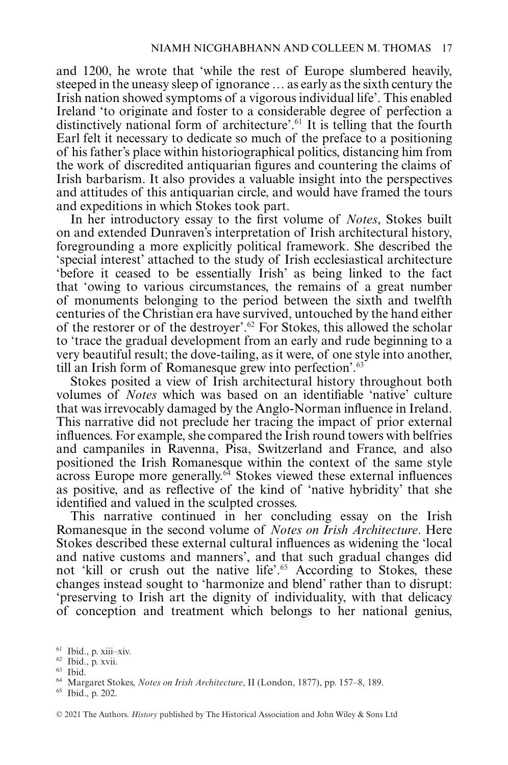and 1200, he wrote that 'while the rest of Europe slumbered heavily, steeped in the uneasy sleep of ignorance … as early as the sixth century the Irish nation showed symptoms of a vigorous individual life'. This enabled Ireland 'to originate and foster to a considerable degree of perfection a distinctively national form of architecture'.61 It is telling that the fourth Earl felt it necessary to dedicate so much of the preface to a positioning of his father's place within historiographical politics, distancing him from the work of discredited antiquarian figures and countering the claims of Irish barbarism. It also provides a valuable insight into the perspectives and attitudes of this antiquarian circle, and would have framed the tours and expeditions in which Stokes took part.

In her introductory essay to the first volume of *Notes*, Stokes built on and extended Dunraven's interpretation of Irish architectural history, foregrounding a more explicitly political framework. She described the 'special interest' attached to the study of Irish ecclesiastical architecture 'before it ceased to be essentially Irish' as being linked to the fact that 'owing to various circumstances, the remains of a great number of monuments belonging to the period between the sixth and twelfth centuries of the Christian era have survived, untouched by the hand either of the restorer or of the destroyer'.62 For Stokes, this allowed the scholar to 'trace the gradual development from an early and rude beginning to a very beautiful result; the dove-tailing, as it were, of one style into another, till an Irish form of Romanesque grew into perfection'.<sup>63</sup>

Stokes posited a view of Irish architectural history throughout both volumes of *Notes* which was based on an identifiable 'native' culture that was irrevocably damaged by the Anglo-Norman influence in Ireland. This narrative did not preclude her tracing the impact of prior external influences. For example, she compared the Irish round towers with belfries and campaniles in Ravenna, Pisa, Switzerland and France, and also positioned the Irish Romanesque within the context of the same style  $\frac{1}{4}$  across Europe more generally.<sup> $64$ </sup> Stokes viewed these external influences as positive, and as reflective of the kind of 'native hybridity' that she identified and valued in the sculpted crosses.

This narrative continued in her concluding essay on the Irish Romanesque in the second volume of *Notes on Irish Architecture*. Here Stokes described these external cultural influences as widening the 'local and native customs and manners', and that such gradual changes did not 'kill or crush out the native life'.<sup>65</sup> According to Stokes, these changes instead sought to 'harmonize and blend' rather than to disrupt: 'preserving to Irish art the dignity of individuality, with that delicacy of conception and treatment which belongs to her national genius,

<sup>61</sup> Ibid., p. xiii–xiv.

<sup>62</sup> Ibid., p. xvii.

<sup>63</sup> Ibid.

<sup>64</sup> Margaret Stokes, *Notes on Irish Architecture*, II (London, 1877), pp. 157–8, 189.

<sup>65</sup> Ibid., p. 202.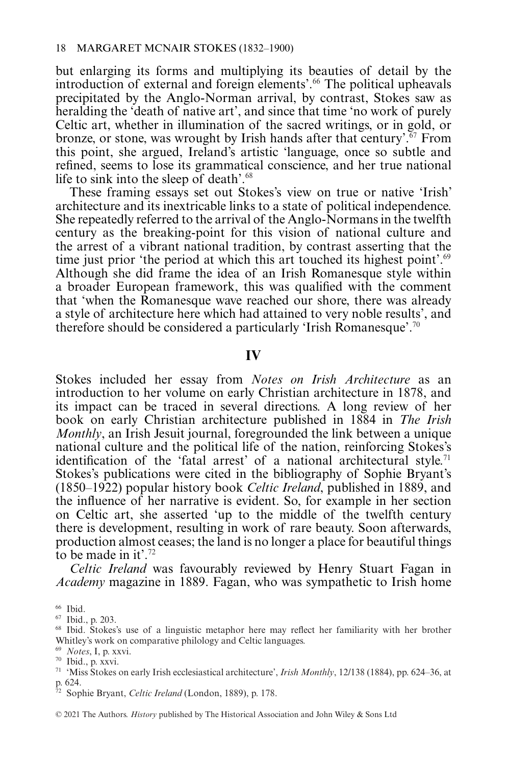but enlarging its forms and multiplying its beauties of detail by the introduction of external and foreign elements'.<sup>66</sup> The political upheavals precipitated by the Anglo-Norman arrival, by contrast, Stokes saw as heralding the 'death of native art', and since that time 'no work of purely Celtic art, whether in illumination of the sacred writings, or in gold, or bronze, or stone, was wrought by Irish hands after that century'.<sup> $67$ </sup> From this point, she argued, Ireland's artistic 'language, once so subtle and refined, seems to lose its grammatical conscience, and her true national life to sink into the sleep of death'.<sup>68</sup>

These framing essays set out Stokes's view on true or native 'Irish' architecture and its inextricable links to a state of political independence. She repeatedly referred to the arrival of the Anglo-Normans in the twelfth century as the breaking-point for this vision of national culture and the arrest of a vibrant national tradition, by contrast asserting that the time just prior 'the period at which this art touched its highest point'.<sup>69</sup> Although she did frame the idea of an Irish Romanesque style within a broader European framework, this was qualified with the comment that 'when the Romanesque wave reached our shore, there was already a style of architecture here which had attained to very noble results', and therefore should be considered a particularly 'Irish Romanesque'.70

#### IV

Stokes included her essay from *Notes on Irish Architecture* as an introduction to her volume on early Christian architecture in 1878, and its impact can be traced in several directions. A long review of her book on early Christian architecture published in 1884 in *The Irish Monthly*, an Irish Jesuit journal, foregrounded the link between a unique national culture and the political life of the nation, reinforcing Stokes's identification of the 'fatal arrest' of a national architectural style.<sup>71</sup> Stokes's publications were cited in the bibliography of Sophie Bryant's (1850–1922) popular history book *Celtic Ireland*, published in 1889, and the influence of her narrative is evident. So, for example in her section on Celtic art, she asserted 'up to the middle of the twelfth century there is development, resulting in work of rare beauty. Soon afterwards, production almost ceases; the land is no longer a place for beautiful things to be made in it'.72

*Celtic Ireland* was favourably reviewed by Henry Stuart Fagan in *Academy* magazine in 1889. Fagan, who was sympathetic to Irish home

<sup>69</sup> *Notes*, I, p. xxvi.

 $66$  Ibid.

<sup>67</sup> Ibid., p. 203.

<sup>68</sup> Ibid. Stokes's use of a linguistic metaphor here may reflect her familiarity with her brother Whitley's work on comparative philology and Celtic languages.

<sup>70</sup> Ibid., p. xxvi.

<sup>71</sup> 'Miss Stokes on early Irish ecclesiastical architecture', *Irish Monthly*, 12/138 (1884), pp. 624–36, at p. 624.

<sup>72</sup> Sophie Bryant, *Celtic Ireland* (London, 1889), p. 178.

<sup>© 2021</sup> The Authors. *History* published by The Historical Association and John Wiley & Sons Ltd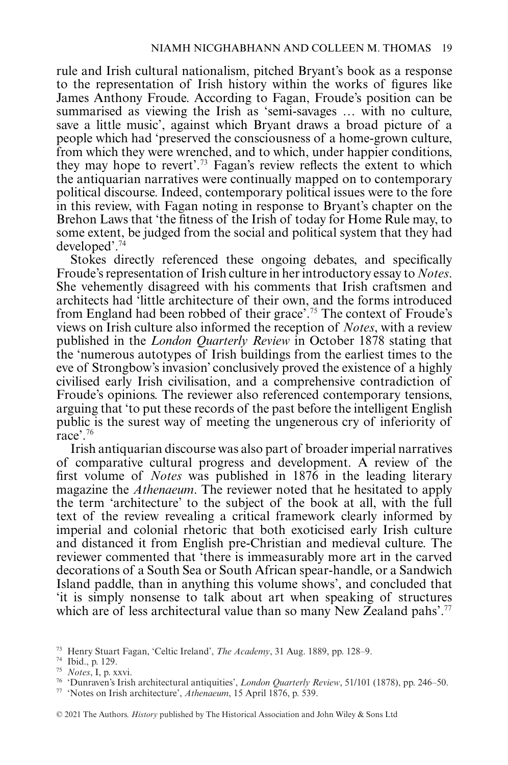rule and Irish cultural nationalism, pitched Bryant's book as a response to the representation of Irish history within the works of figures like James Anthony Froude. According to Fagan, Froude's position can be summarised as viewing the Irish as 'semi-savages … with no culture, save a little music', against which Bryant draws a broad picture of a people which had 'preserved the consciousness of a home-grown culture, from which they were wrenched, and to which, under happier conditions, they may hope to revert'.73 Fagan's review reflects the extent to which the antiquarian narratives were continually mapped on to contemporary political discourse. Indeed, contemporary political issues were to the fore in this review, with Fagan noting in response to Bryant's chapter on the Brehon Laws that 'the fitness of the Irish of today for Home Rule may, to some extent, be judged from the social and political system that they had developed'.74

Stokes directly referenced these ongoing debates, and specifically Froude's representation of Irish culture in her introductory essay to *Notes*. She vehemently disagreed with his comments that Irish craftsmen and architects had 'little architecture of their own, and the forms introduced from England had been robbed of their grace'.75 The context of Froude's views on Irish culture also informed the reception of *Notes*, with a review published in the *London Quarterly Review* in October 1878 stating that the 'numerous autotypes of Irish buildings from the earliest times to the eve of Strongbow's invasion' conclusively proved the existence of a highly civilised early Irish civilisation, and a comprehensive contradiction of Froude's opinions. The reviewer also referenced contemporary tensions, arguing that 'to put these records of the past before the intelligent English public is the surest way of meeting the ungenerous cry of inferiority of race'.76

Irish antiquarian discourse was also part of broader imperial narratives of comparative cultural progress and development. A review of the first volume of *Notes* was published in 1876 in the leading literary magazine the *Athenaeum*. The reviewer noted that he hesitated to apply the term 'architecture' to the subject of the book at all, with the full text of the review revealing a critical framework clearly informed by imperial and colonial rhetoric that both exoticised early Irish culture and distanced it from English pre-Christian and medieval culture. The reviewer commented that 'there is immeasurably more art in the carved decorations of a South Sea or South African spear-handle, or a Sandwich Island paddle, than in anything this volume shows', and concluded that 'it is simply nonsense to talk about art when speaking of structures which are of less architectural value than so many New Zealand pahs'.<sup>77</sup>

<sup>73</sup> Henry Stuart Fagan, 'Celtic Ireland', *The Academy*, 31 Aug. 1889, pp. 128–9.

<sup>74</sup> Ibid., p. 129.

<sup>75</sup> *Notes*, I, p. xxvi.

<sup>76</sup> 'Dunraven's Irish architectural antiquities', *London Quarterly Review*, 51/101 (1878), pp. 246–50.

<sup>77</sup> 'Notes on Irish architecture', *Athenaeum*, 15 April 1876, p. 539.

<sup>© 2021</sup> The Authors. *History* published by The Historical Association and John Wiley & Sons Ltd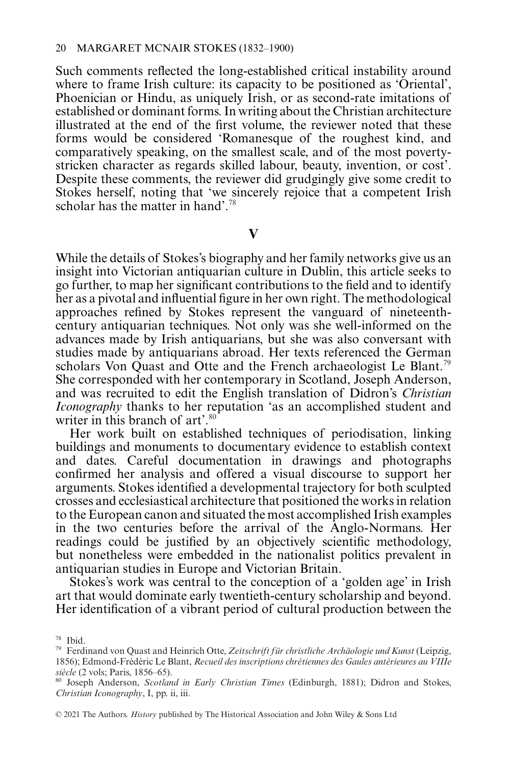Such comments reflected the long-established critical instability around where to frame Irish culture: its capacity to be positioned as 'Oriental', Phoenician or Hindu, as uniquely Irish, or as second-rate imitations of established or dominant forms. In writing about the Christian architecture illustrated at the end of the first volume, the reviewer noted that these forms would be considered 'Romanesque of the roughest kind, and comparatively speaking, on the smallest scale, and of the most povertystricken character as regards skilled labour, beauty, invention, or cost'. Despite these comments, the reviewer did grudgingly give some credit to Stokes herself, noting that 'we sincerely rejoice that a competent Irish scholar has the matter in hand'.<sup>78</sup>

 $\overline{\mathbf{V}}$ 

**V** While the details of Stokes's biography and her family networks give us an insight into Victorian antiquarian culture in Dublin, this article seeks to go further, to map her significant contributions to the field and to identify her as a pivotal and influential figure in her own right. The methodological approaches refined by Stokes represent the vanguard of nineteenthcentury antiquarian techniques. Not only was she well-informed on the advances made by Irish antiquarians, but she was also conversant with studies made by antiquarians abroad. Her texts referenced the German scholars Von Quast and Otte and the French archaeologist Le Blant.<sup>79</sup> She corresponded with her contemporary in Scotland, Joseph Anderson, and was recruited to edit the English translation of Didron's *Christian Iconography* thanks to her reputation 'as an accomplished student and writer in this branch of art'.<sup>80</sup>

Her work built on established techniques of periodisation, linking buildings and monuments to documentary evidence to establish context and dates. Careful documentation in drawings and photographs confirmed her analysis and offered a visual discourse to support her arguments. Stokes identified a developmental trajectory for both sculpted crosses and ecclesiastical architecture that positioned the works in relation to the European canon and situated the most accomplished Irish examples in the two centuries before the arrival of the Anglo-Normans. Her readings could be justified by an objectively scientific methodology, but nonetheless were embedded in the nationalist politics prevalent in antiquarian studies in Europe and Victorian Britain.

Stokes's work was central to the conception of a 'golden age' in Irish art that would dominate early twentieth-century scholarship and beyond. Her identification of a vibrant period of cultural production between the

<sup>78</sup> Ibid.

<sup>79</sup> Ferdinand von Quast and Heinrich Otte, *Zeitschrift für christliche Archäologie und Kunst* (Leipzig, 1856); Edmond-Frédéric Le Blant, *Recueil des inscriptions chrétiennes des Gaules antérieures au VIIIe siècle* (2 vols; Paris, 1856–65).

<sup>80</sup> Joseph Anderson, *Scotland in Early Christian Times* (Edinburgh, 1881); Didron and Stokes, *Christian Iconography*, I, pp. ii, iii.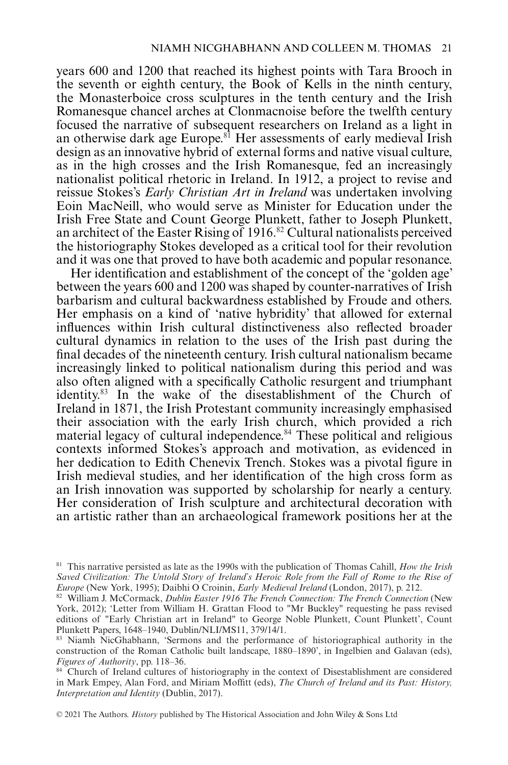years 600 and 1200 that reached its highest points with Tara Brooch in the seventh or eighth century, the Book of Kells in the ninth century, the Monasterboice cross sculptures in the tenth century and the Irish Romanesque chancel arches at Clonmacnoise before the twelfth century focused the narrative of subsequent researchers on Ireland as a light in an otherwise dark age Europe.<sup>81</sup> Her assessments of early medieval Irish design as an innovative hybrid of external forms and native visual culture, as in the high crosses and the Irish Romanesque, fed an increasingly nationalist political rhetoric in Ireland. In 1912, a project to revise and reissue Stokes's *Early Christian Art in Ireland* was undertaken involving Eoin MacNeill, who would serve as Minister for Education under the Irish Free State and Count George Plunkett, father to Joseph Plunkett, an architect of the Easter Rising of 1916.<sup>82</sup> Cultural nationalists perceived the historiography Stokes developed as a critical tool for their revolution and it was one that proved to have both academic and popular resonance.

Her identification and establishment of the concept of the 'golden age' between the years 600 and 1200 was shaped by counter-narratives of Irish barbarism and cultural backwardness established by Froude and others. Her emphasis on a kind of 'native hybridity' that allowed for external influences within Irish cultural distinctiveness also reflected broader cultural dynamics in relation to the uses of the Irish past during the final decades of the nineteenth century. Irish cultural nationalism became increasingly linked to political nationalism during this period and was also often aligned with a specifically Catholic resurgent and triumphant identity.83 In the wake of the disestablishment of the Church of Ireland in 1871, the Irish Protestant community increasingly emphasised their association with the early Irish church, which provided a rich material legacy of cultural independence.<sup>84</sup> These political and religious contexts informed Stokes's approach and motivation, as evidenced in her dedication to Edith Chenevix Trench. Stokes was a pivotal figure in Irish medieval studies, and her identification of the high cross form as an Irish innovation was supported by scholarship for nearly a century. Her consideration of Irish sculpture and architectural decoration with an artistic rather than an archaeological framework positions her at the

<sup>81</sup> This narrative persisted as late as the 1990s with the publication of Thomas Cahill, *How the Irish Saved Civilization: The Untold Story of Ireland's Heroic Role from the Fall of Rome to the Rise of Europe* (New York, 1995); Daibhi O Croinin, *Early Medieval Ireland* (London, 2017), p. 212.

<sup>82</sup> William J. McCormack, *Dublin Easter 1916 The French Connection: The French Connection* (New York, 2012); 'Letter from William H. Grattan Flood to "Mr Buckley" requesting he pass revised editions of "Early Christian art in Ireland" to George Noble Plunkett, Count Plunkett', Count Plunkett Papers, 1648–1940, Dublin/NLI/MS11, 379/14/1.

<sup>83</sup> Niamh NicGhabhann, 'Sermons and the performance of historiographical authority in the construction of the Roman Catholic built landscape, 1880–1890', in Ingelbien and Galavan (eds), *Figures of Authority*, pp. 118–36.

<sup>&</sup>lt;sup>84</sup> Church of Ireland cultures of historiography in the context of Disestablishment are considered in Mark Empey, Alan Ford, and Miriam Moffitt (eds), *The Church of Ireland and its Past: History, Interpretation and Identity* (Dublin, 2017).